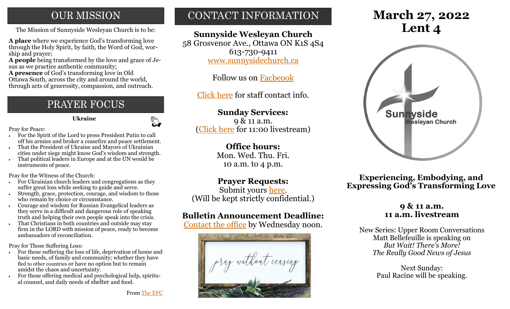# **OUR MISSION**

The Mission of Sunnyside Wesleyan Church is to be: **Lent 4** 

**A place** where we experience God's transforming love through the Holy Spirit, by faith, the Word of God, worship and prayer;

**A people** being transformed by the love and grace of Jesus as we practice authentic community;

**A presence** of God's transforming love in Old Ottawa South, across the city and around the world, through acts of generosity, compassion, and outreach.

# PRAYER FOCUS

 **Ukraine**

 $\mathbb{C}$ 

Pray for Peace:

- For the Spirit of the Lord to press President Putin to call off his armies and broker a ceasefire and peace settlement.
- That the President of Ukraine and Mayors of Ukrainian cities under siege might know God's wisdom and strength.
- That political leaders in Europe and at the UN would be instruments of peace.

Pray for the Witness of the Church:

- For Ukrainian church leaders and congregations as they suffer great loss while seeking to guide and serve.
- Strength, grace, protection, courage, and wisdom to those who remain by choice or circumstance.
- Courage and wisdom for Russian Evangelical leaders as they serve in a difficult and dangerous role of speaking truth and helping their own people speak into the crisis.
- That Christians in both countries and outside may stay firm in the LORD with mission of peace, ready to become ambassadors of reconciliation.

Pray for Those Suffering Loss:

- For those suffering the loss of life, deprivation of home and basic needs, of family and community; whether they have fled to other countries or have no option but to remain amidst the chaos and uncertainty.
- For those offering medical and psychological help, spiritual counsel, and daily needs of shelter and food.

# CONTACT INFORMATION

# **Sunnyside Wesleyan Church**

58 Grosvenor Ave., Ottawa ON K1S 4S4 613-730-9411 [www.sunnysidechurch.ca](http://www.sunnysidechurch.ca)

Follow us on [Facbeook](http://www.facebook.com/sunnysidewesleyanchurch)

[Click here](http://www.sunnysidechurch.ca/about-sunnyside/staff/) for staff contact info.

## **Sunday Services:**

9 & 11 a.m. [\(Click here](https://youtube.com/channel/UCYfl9Qy37Az7fqqFQpDEwjg) for 11:00 livestream)

### **Office hours:**

Mon. Wed. Thu. Fri. 10 a.m. to 4 p.m.

### **Prayer Requests:**

Submit yours [here.](mailto:prayer@sunnysidechurch.ca) (Will be kept strictly confidential.)

# **Bulletin Announcement Deadline:**

[Contact the office](mailto:office@sunnysidechurch.ca) by Wednesday noon.



# **March 27, 2022**



**Experiencing, Embodying, and Expressing God's Transforming Love**

### **9 & 11 a.m. 11 a.m. livestream**

New Series: Upper Room Conversations Matt Bellefeuille is speaking on *But Wait! There's More! The Really Good News of Jesus* 

> Next Sunday: Paul Racine will be speaking.